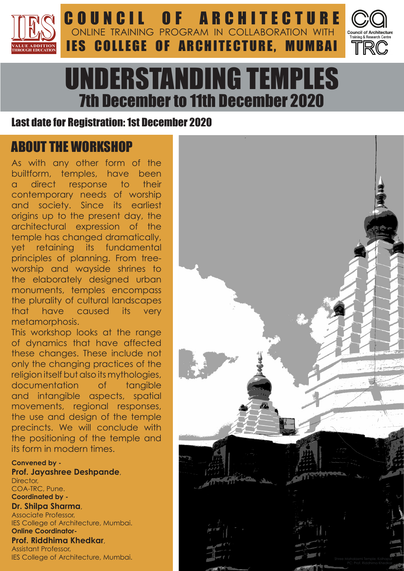



# UNDERSTANDING TEMPLES 7th December to 11th December 2020

**IES COLLEGE OF ARCHITECTURE, MUMBAI** 

ONLINE TRAINING PROGRAM IN COLLABORATION WITH

## Last date for Registration: 1st December 2020

# ABOUT THE WORKSHOP

As with any other form of the builtform, temples, have been a direct response to their contemporary needs of worship and society. Since its earliest origins up to the present day, the architectural expression of the temple has changed dramatically, yet retaining its fundamental principles of planning. From treeworship and wayside shrines to the elaborately designed urban monuments, temples encompass the plurality of cultural landscapes that have caused its very metamorphosis.

This workshop looks at the range of dynamics that have affected these changes. These include not only the changing practices of the religion itself but also its mythologies, documentation of tangible and intangible aspects, spatial movements, regional responses, the use and design of the temple precincts. We will conclude with the positioning of the temple and its form in modern times.

**Convened by - Prof. Jayashree Deshpande**, Director, COA-TRC, Pune. **Coordinated by - Dr. Shilpa Sharma**,

Associate Professor, IES College of Architecture, Mumbai. **Online Coordinator-**

**Prof. Riddhima Khedkar**, Assistant Professor, IES College of Architecture, Mumbai.